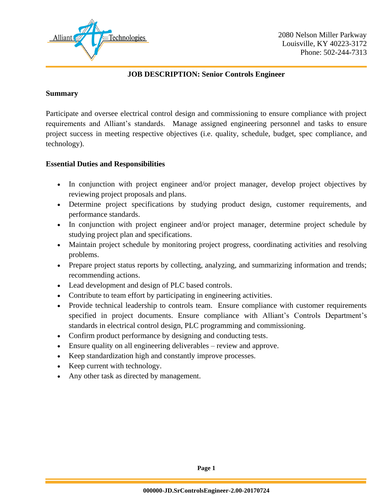

### **JOB DESCRIPTION: Senior Controls Engineer**

#### **Summary**

Participate and oversee electrical control design and commissioning to ensure compliance with project requirements and Alliant's standards. Manage assigned engineering personnel and tasks to ensure project success in meeting respective objectives (i.e. quality, schedule, budget, spec compliance, and technology).

#### **Essential Duties and Responsibilities**

- In conjunction with project engineer and/or project manager, develop project objectives by reviewing project proposals and plans.
- Determine project specifications by studying product design, customer requirements, and performance standards.
- In conjunction with project engineer and/or project manager, determine project schedule by studying project plan and specifications.
- Maintain project schedule by monitoring project progress, coordinating activities and resolving problems.
- Prepare project status reports by collecting, analyzing, and summarizing information and trends; recommending actions.
- Lead development and design of PLC based controls.
- Contribute to team effort by participating in engineering activities.
- Provide technical leadership to controls team. Ensure compliance with customer requirements specified in project documents. Ensure compliance with Alliant's Controls Department's standards in electrical control design, PLC programming and commissioning.
- Confirm product performance by designing and conducting tests.
- Ensure quality on all engineering deliverables review and approve.
- Keep standardization high and constantly improve processes.
- Keep current with technology.
- Any other task as directed by management.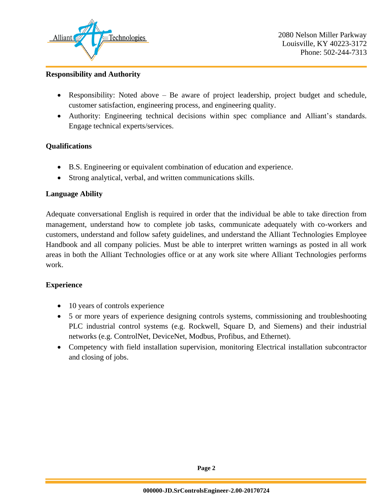

2080 Nelson Miller Parkway Louisville, KY 40223-3172 Phone: 502-244-7313

#### **Responsibility and Authority**

- Responsibility: Noted above Be aware of project leadership, project budget and schedule, customer satisfaction, engineering process, and engineering quality.
- Authority: Engineering technical decisions within spec compliance and Alliant's standards. Engage technical experts/services.

#### **Qualifications**

- B.S. Engineering or equivalent combination of education and experience.
- Strong analytical, verbal, and written communications skills.

#### **Language Ability**

Adequate conversational English is required in order that the individual be able to take direction from management, understand how to complete job tasks, communicate adequately with co-workers and customers, understand and follow safety guidelines, and understand the Alliant Technologies Employee Handbook and all company policies. Must be able to interpret written warnings as posted in all work areas in both the Alliant Technologies office or at any work site where Alliant Technologies performs work.

#### **Experience**

- 10 years of controls experience
- 5 or more years of experience designing controls systems, commissioning and troubleshooting PLC industrial control systems (e.g. Rockwell, Square D, and Siemens) and their industrial networks (e.g. ControlNet, DeviceNet, Modbus, Profibus, and Ethernet).
- Competency with field installation supervision, monitoring Electrical installation subcontractor and closing of jobs.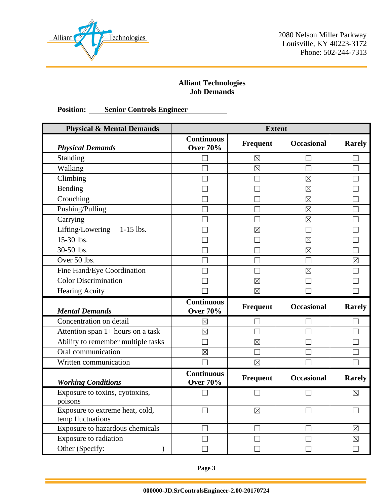

2080 Nelson Miller Parkway Louisville, KY 40223-3172 Phone: 502-244-7313

## **Alliant Technologies Job Demands**

# **Position: Senior Controls Engineer**

| <b>Physical &amp; Mental Demands</b>                 | <b>Extent</b>                        |                 |                   |               |
|------------------------------------------------------|--------------------------------------|-----------------|-------------------|---------------|
| <b>Physical Demands</b>                              | <b>Continuous</b><br><b>Over 70%</b> | <b>Frequent</b> | <b>Occasional</b> | <b>Rarely</b> |
| Standing                                             |                                      | $\boxtimes$     |                   |               |
| Walking                                              |                                      | $\boxtimes$     | Щ                 | П             |
| Climbing                                             |                                      | ×               | $\boxtimes$       |               |
| Bending                                              |                                      |                 | $\boxtimes$       |               |
| Crouching                                            |                                      |                 | $\boxtimes$       |               |
| Pushing/Pulling                                      |                                      |                 | $\boxtimes$       |               |
| Carrying                                             |                                      |                 | $\boxtimes$       |               |
| Lifting/Lowering<br>$1-15$ lbs.                      |                                      | $\boxtimes$     |                   |               |
| 15-30 lbs.                                           |                                      |                 | $\boxtimes$       |               |
| 30-50 lbs.                                           |                                      |                 | $\boxtimes$       |               |
| Over 50 lbs.                                         |                                      |                 |                   | $\boxtimes$   |
| Fine Hand/Eye Coordination                           |                                      |                 | $\boxtimes$       |               |
| <b>Color Discrimination</b>                          |                                      | $\boxtimes$     | $\mathbf{I}$      |               |
| Hearing Acuity                                       |                                      | $\boxtimes$     |                   |               |
| <b>Mental Demands</b>                                | <b>Continuous</b><br><b>Over 70%</b> | Frequent        | <b>Occasional</b> | <b>Rarely</b> |
| Concentration on detail                              | $\boxtimes$                          |                 |                   |               |
| Attention span 1+ hours on a task                    | $\boxtimes$                          |                 |                   |               |
| Ability to remember multiple tasks                   |                                      | $\boxtimes$     |                   |               |
| Oral communication                                   | $\boxtimes$                          | ×.              |                   |               |
| Written communication                                |                                      | $\boxtimes$     |                   |               |
| <b>Working Conditions</b>                            | <b>Continuous</b><br><b>Over 70%</b> | <b>Frequent</b> | <b>Occasional</b> | <b>Rarely</b> |
| Exposure to toxins, cyotoxins,<br>poisons            |                                      |                 |                   | ⊠             |
| Exposure to extreme heat, cold,<br>temp fluctuations |                                      | $\boxtimes$     |                   |               |
| Exposure to hazardous chemicals                      |                                      |                 |                   | $\boxtimes$   |
| Exposure to radiation                                |                                      |                 |                   | $\boxtimes$   |
| Other (Specify:<br>)                                 |                                      |                 |                   |               |

**Page 3**